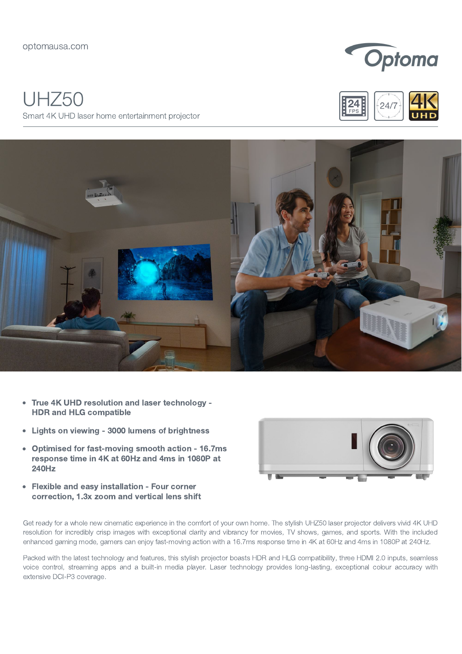## UHZ50 Smart 4K UHD laser home entertainment projector







- True 4K UHD resolution and laser technology  $\bullet$ HDR and HLG compatible
- Lights on viewing 3000 lumens of brightness  $\bullet$
- Optimised for fast-moving smooth action 16.7ms  $\bullet$ response time in 4K at 60Hz and 4ms in 1080P at 240Hz
- Flexible and easy installation Four corner correction, 1.3x zoom and vertical lens shift



Get ready for a whole new cinematic experience in the comfort of your own home. The stylish UHZ50 laser projector delivers vivid 4K UHD resolution for incredibly crisp images with exceptional clarity and vibrancy for movies, TV shows, games, and sports. With the included enhanced gaming mode, gamers can enjoy fast-moving action with a 16.7ms response time in 4K at 60Hz and 4ms in 1080P at 240Hz.

Packed with the latest technology and features, this stylish projector boasts HDR and HLG compatibility, three HDMI 2.0 inputs, seamless voice control, streaming apps and a built-in media player. Laser technology provides long-lasting, exceptional colour accuracy with extensive DCI-P3 coverage.